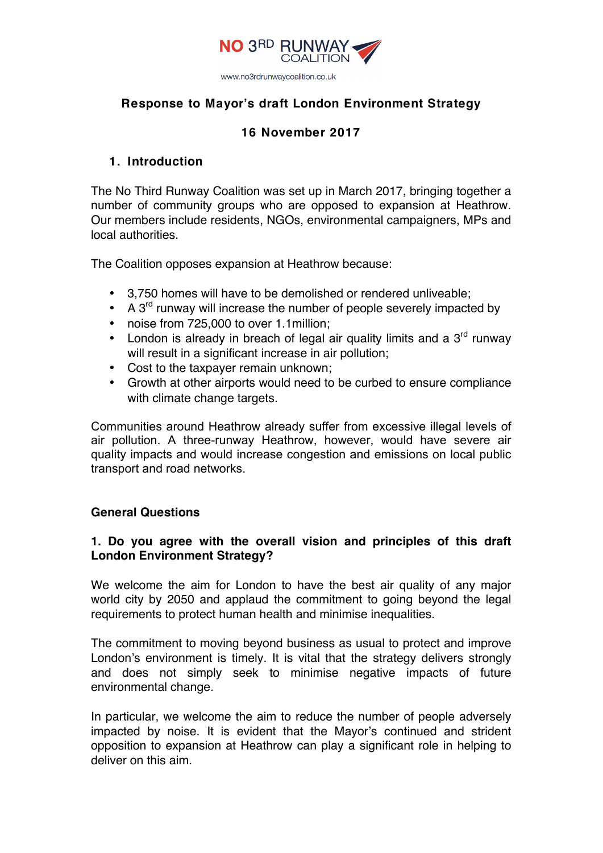

# **Response to Mayor's draft London Environment Strategy**

# **16 November 2017**

## **1. Introduction**

The No Third Runway Coalition was set up in March 2017, bringing together a number of community groups who are opposed to expansion at Heathrow. Our members include residents, NGOs, environmental campaigners, MPs and local authorities.

The Coalition opposes expansion at Heathrow because:

- 3,750 homes will have to be demolished or rendered unliveable;
- A  $3<sup>rd</sup>$  runway will increase the number of people severely impacted by
- noise from 725,000 to over 1.1million;
- London is already in breach of legal air quality limits and a  $3<sup>rd</sup>$  runway will result in a significant increase in air pollution;
- Cost to the taxpayer remain unknown;
- Growth at other airports would need to be curbed to ensure compliance with climate change targets.

Communities around Heathrow already suffer from excessive illegal levels of air pollution. A three-runway Heathrow, however, would have severe air quality impacts and would increase congestion and emissions on local public transport and road networks.

#### **General Questions**

## **1. Do you agree with the overall vision and principles of this draft London Environment Strategy?**

We welcome the aim for London to have the best air quality of any major world city by 2050 and applaud the commitment to going beyond the legal requirements to protect human health and minimise inequalities.

The commitment to moving beyond business as usual to protect and improve London's environment is timely. It is vital that the strategy delivers strongly and does not simply seek to minimise negative impacts of future environmental change.

In particular, we welcome the aim to reduce the number of people adversely impacted by noise. It is evident that the Mayor's continued and strident opposition to expansion at Heathrow can play a significant role in helping to deliver on this aim.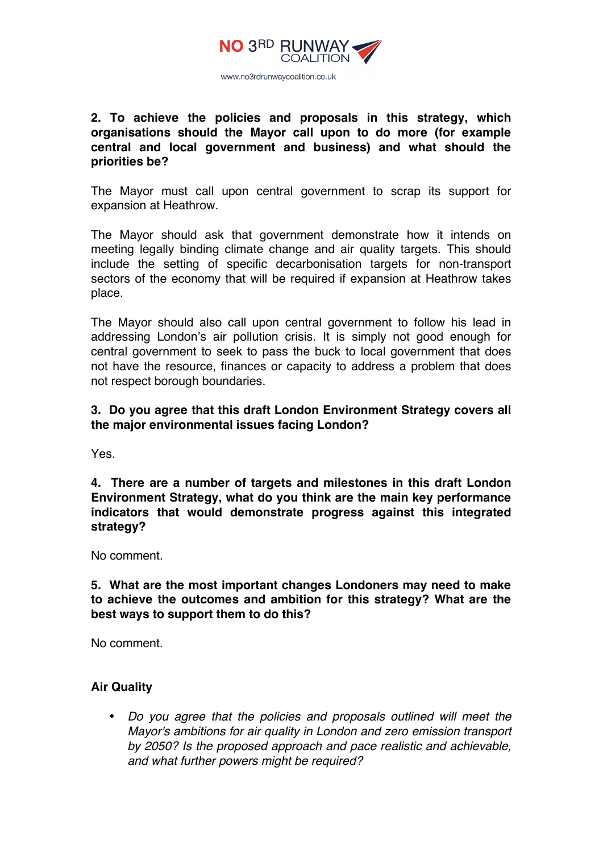

**2. To achieve the policies and proposals in this strategy, which organisations should the Mayor call upon to do more (for example central and local government and business) and what should the priorities be?**

The Mayor must call upon central government to scrap its support for expansion at Heathrow.

The Mayor should ask that government demonstrate how it intends on meeting legally binding climate change and air quality targets. This should include the setting of specific decarbonisation targets for non-transport sectors of the economy that will be required if expansion at Heathrow takes place.

The Mayor should also call upon central government to follow his lead in addressing London's air pollution crisis. It is simply not good enough for central government to seek to pass the buck to local government that does not have the resource, finances or capacity to address a problem that does not respect borough boundaries.

## **3. Do you agree that this draft London Environment Strategy covers all the major environmental issues facing London?**

Yes.

**4. There are a number of targets and milestones in this draft London Environment Strategy, what do you think are the main key performance indicators that would demonstrate progress against this integrated strategy?**

No comment.

## **5. What are the most important changes Londoners may need to make to achieve the outcomes and ambition for this strategy? What are the best ways to support them to do this?**

No comment.

#### **Air Quality**

• *Do you agree that the policies and proposals outlined will meet the Mayor's ambitions for air quality in London and zero emission transport by 2050? Is the proposed approach and pace realistic and achievable, and what further powers might be required?*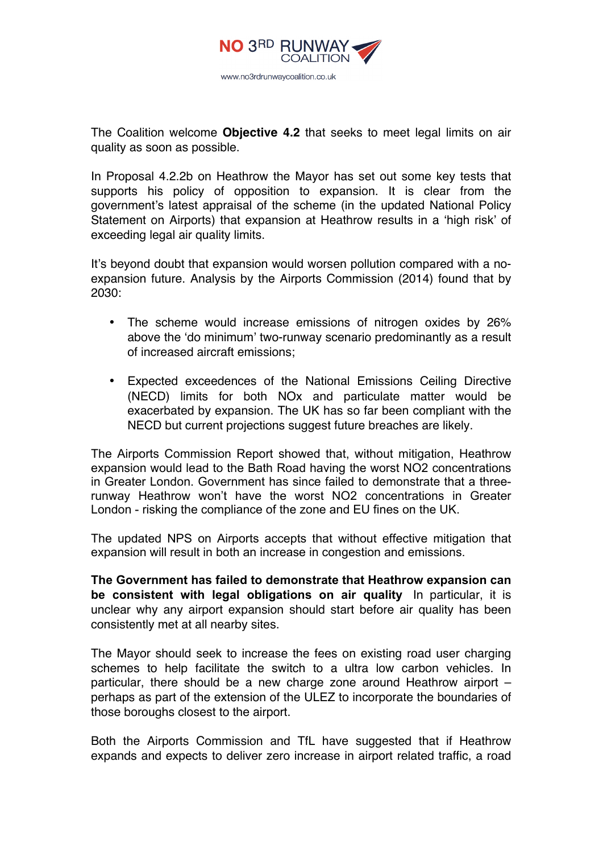

The Coalition welcome **Objective 4.2** that seeks to meet legal limits on air quality as soon as possible.

In Proposal 4.2.2b on Heathrow the Mayor has set out some key tests that supports his policy of opposition to expansion. It is clear from the government's latest appraisal of the scheme (in the updated National Policy Statement on Airports) that expansion at Heathrow results in a 'high risk' of exceeding legal air quality limits.

It's beyond doubt that expansion would worsen pollution compared with a noexpansion future. Analysis by the Airports Commission (2014) found that by 2030:

- The scheme would increase emissions of nitrogen oxides by 26% above the 'do minimum' two-runway scenario predominantly as a result of increased aircraft emissions;
- Expected exceedences of the National Emissions Ceiling Directive (NECD) limits for both NOx and particulate matter would be exacerbated by expansion. The UK has so far been compliant with the NECD but current projections suggest future breaches are likely.

The Airports Commission Report showed that, without mitigation, Heathrow expansion would lead to the Bath Road having the worst NO2 concentrations in Greater London. Government has since failed to demonstrate that a threerunway Heathrow won't have the worst NO2 concentrations in Greater London - risking the compliance of the zone and EU fines on the UK.

The updated NPS on Airports accepts that without effective mitigation that expansion will result in both an increase in congestion and emissions.

**The Government has failed to demonstrate that Heathrow expansion can be consistent with legal obligations on air quality** In particular, it is unclear why any airport expansion should start before air quality has been consistently met at all nearby sites.

The Mayor should seek to increase the fees on existing road user charging schemes to help facilitate the switch to a ultra low carbon vehicles. In particular, there should be a new charge zone around Heathrow airport – perhaps as part of the extension of the ULEZ to incorporate the boundaries of those boroughs closest to the airport.

Both the Airports Commission and TfL have suggested that if Heathrow expands and expects to deliver zero increase in airport related traffic, a road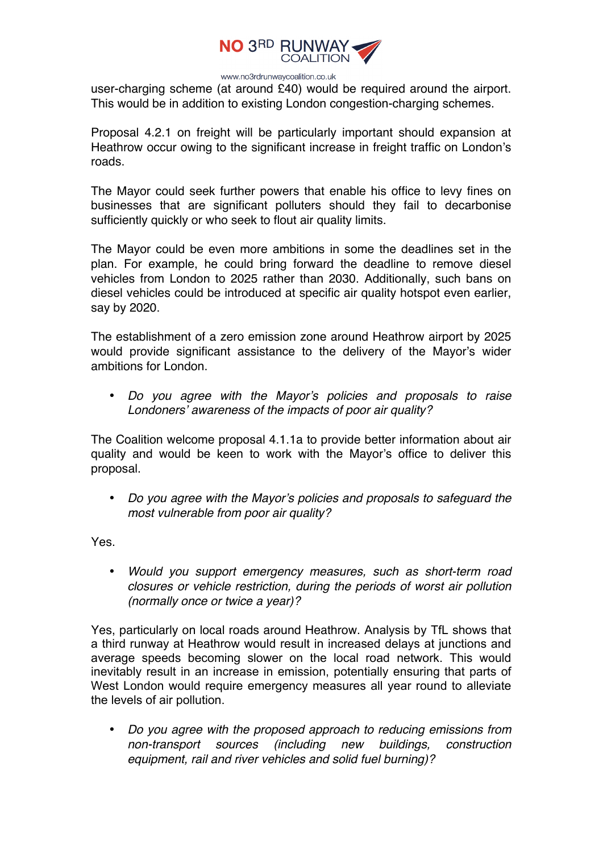

user-charging scheme (at around £40) would be required around the airport. This would be in addition to existing London congestion-charging schemes.

Proposal 4.2.1 on freight will be particularly important should expansion at Heathrow occur owing to the significant increase in freight traffic on London's roads.

The Mayor could seek further powers that enable his office to levy fines on businesses that are significant polluters should they fail to decarbonise sufficiently quickly or who seek to flout air quality limits.

The Mayor could be even more ambitions in some the deadlines set in the plan. For example, he could bring forward the deadline to remove diesel vehicles from London to 2025 rather than 2030. Additionally, such bans on diesel vehicles could be introduced at specific air quality hotspot even earlier, say by 2020.

The establishment of a zero emission zone around Heathrow airport by 2025 would provide significant assistance to the delivery of the Mayor's wider ambitions for London.

• *Do you agree with the Mayor's policies and proposals to raise Londoners' awareness of the impacts of poor air quality?* 

The Coalition welcome proposal 4.1.1a to provide better information about air quality and would be keen to work with the Mayor's office to deliver this proposal.

• *Do you agree with the Mayor's policies and proposals to safeguard the most vulnerable from poor air quality?* 

Yes.

• *Would you support emergency measures, such as short-term road closures or vehicle restriction, during the periods of worst air pollution (normally once or twice a year)?* 

Yes, particularly on local roads around Heathrow. Analysis by TfL shows that a third runway at Heathrow would result in increased delays at junctions and average speeds becoming slower on the local road network. This would inevitably result in an increase in emission, potentially ensuring that parts of West London would require emergency measures all year round to alleviate the levels of air pollution.

• *Do you agree with the proposed approach to reducing emissions from non-transport sources (including new buildings, construction equipment, rail and river vehicles and solid fuel burning)?*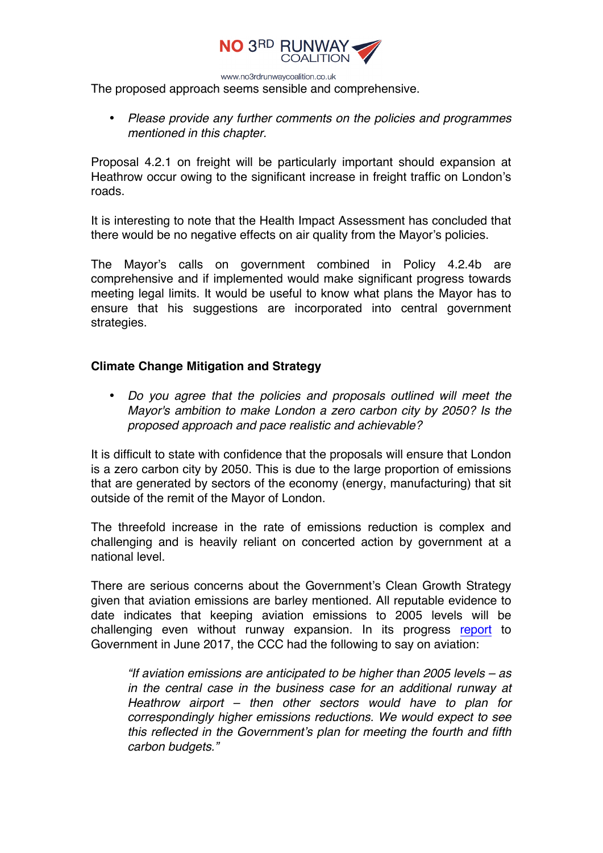

The proposed approach seems sensible and comprehensive.

• *Please provide any further comments on the policies and programmes mentioned in this chapter.* 

Proposal 4.2.1 on freight will be particularly important should expansion at Heathrow occur owing to the significant increase in freight traffic on London's roads.

It is interesting to note that the Health Impact Assessment has concluded that there would be no negative effects on air quality from the Mayor's policies.

The Mayor's calls on government combined in Policy 4.2.4b are comprehensive and if implemented would make significant progress towards meeting legal limits. It would be useful to know what plans the Mayor has to ensure that his suggestions are incorporated into central government strategies.

# **Climate Change Mitigation and Strategy**

• *Do you agree that the policies and proposals outlined will meet the Mayor's ambition to make London a zero carbon city by 2050? Is the proposed approach and pace realistic and achievable?* 

It is difficult to state with confidence that the proposals will ensure that London is a zero carbon city by 2050. This is due to the large proportion of emissions that are generated by sectors of the economy (energy, manufacturing) that sit outside of the remit of the Mayor of London.

The threefold increase in the rate of emissions reduction is complex and challenging and is heavily reliant on concerted action by government at a national level.

There are serious concerns about the Government's Clean Growth Strategy given that aviation emissions are barley mentioned. All reputable evidence to date indicates that keeping aviation emissions to 2005 levels will be challenging even without runway expansion. In its progress report to Government in June 2017, the CCC had the following to say on aviation:

*"If aviation emissions are anticipated to be higher than 2005 levels – as in the central case in the business case for an additional runway at Heathrow airport – then other sectors would have to plan for correspondingly higher emissions reductions. We would expect to see this reflected in the Government's plan for meeting the fourth and fifth carbon budgets."*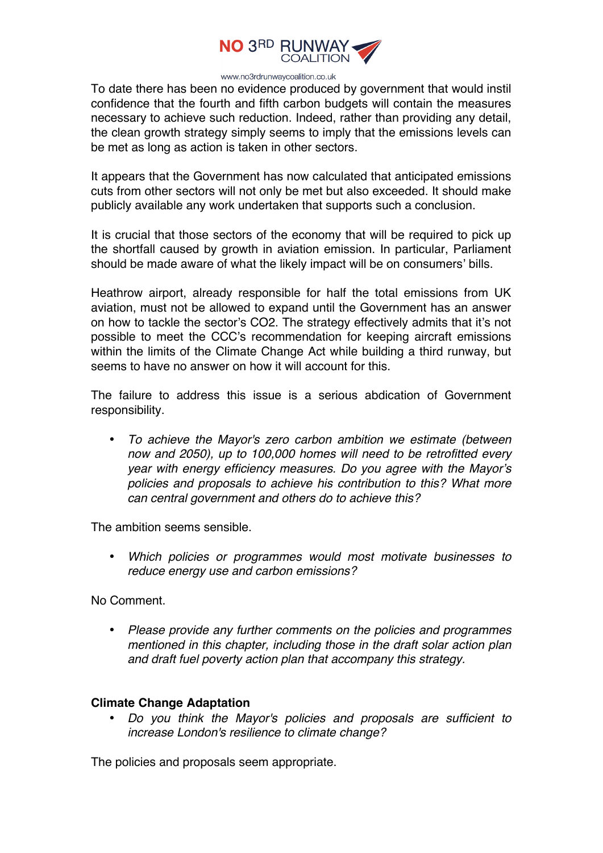

To date there has been no evidence produced by government that would instil confidence that the fourth and fifth carbon budgets will contain the measures necessary to achieve such reduction. Indeed, rather than providing any detail, the clean growth strategy simply seems to imply that the emissions levels can be met as long as action is taken in other sectors.

It appears that the Government has now calculated that anticipated emissions cuts from other sectors will not only be met but also exceeded. It should make publicly available any work undertaken that supports such a conclusion.

It is crucial that those sectors of the economy that will be required to pick up the shortfall caused by growth in aviation emission. In particular, Parliament should be made aware of what the likely impact will be on consumers' bills.

Heathrow airport, already responsible for half the total emissions from UK aviation, must not be allowed to expand until the Government has an answer on how to tackle the sector's CO2. The strategy effectively admits that it's not possible to meet the CCC's recommendation for keeping aircraft emissions within the limits of the Climate Change Act while building a third runway, but seems to have no answer on how it will account for this.

The failure to address this issue is a serious abdication of Government responsibility.

• *To achieve the Mayor's zero carbon ambition we estimate (between now and 2050), up to 100,000 homes will need to be retrofitted every year with energy efficiency measures. Do you agree with the Mayor's policies and proposals to achieve his contribution to this? What more can central government and others do to achieve this?* 

The ambition seems sensible.

• *Which policies or programmes would most motivate businesses to reduce energy use and carbon emissions?* 

No Comment.

• *Please provide any further comments on the policies and programmes mentioned in this chapter, including those in the draft solar action plan and draft fuel poverty action plan that accompany this strategy.* 

#### **Climate Change Adaptation**

• *Do you think the Mayor's policies and proposals are sufficient to increase London's resilience to climate change?* 

The policies and proposals seem appropriate.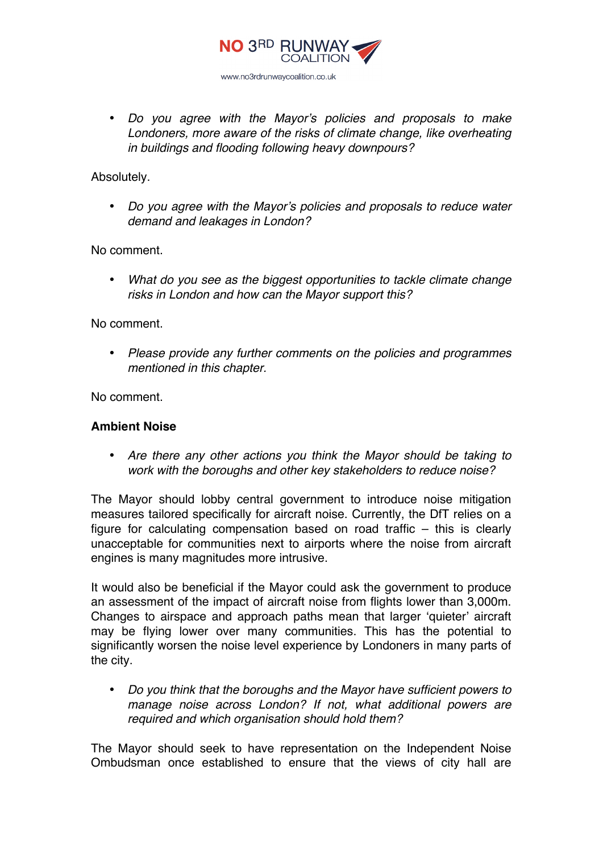

• *Do you agree with the Mayor's policies and proposals to make Londoners, more aware of the risks of climate change, like overheating in buildings and flooding following heavy downpours?* 

Absolutely.

• *Do you agree with the Mayor's policies and proposals to reduce water demand and leakages in London?* 

No comment.

• *What do you see as the biggest opportunities to tackle climate change risks in London and how can the Mayor support this?* 

No comment.

• *Please provide any further comments on the policies and programmes mentioned in this chapter.* 

No comment.

#### **Ambient Noise**

• *Are there any other actions you think the Mayor should be taking to work with the boroughs and other key stakeholders to reduce noise?* 

The Mayor should lobby central government to introduce noise mitigation measures tailored specifically for aircraft noise. Currently, the DfT relies on a figure for calculating compensation based on road traffic – this is clearly unacceptable for communities next to airports where the noise from aircraft engines is many magnitudes more intrusive.

It would also be beneficial if the Mayor could ask the government to produce an assessment of the impact of aircraft noise from flights lower than 3,000m. Changes to airspace and approach paths mean that larger 'quieter' aircraft may be flying lower over many communities. This has the potential to significantly worsen the noise level experience by Londoners in many parts of the city.

• *Do you think that the boroughs and the Mayor have sufficient powers to manage noise across London? If not, what additional powers are required and which organisation should hold them?* 

The Mayor should seek to have representation on the Independent Noise Ombudsman once established to ensure that the views of city hall are